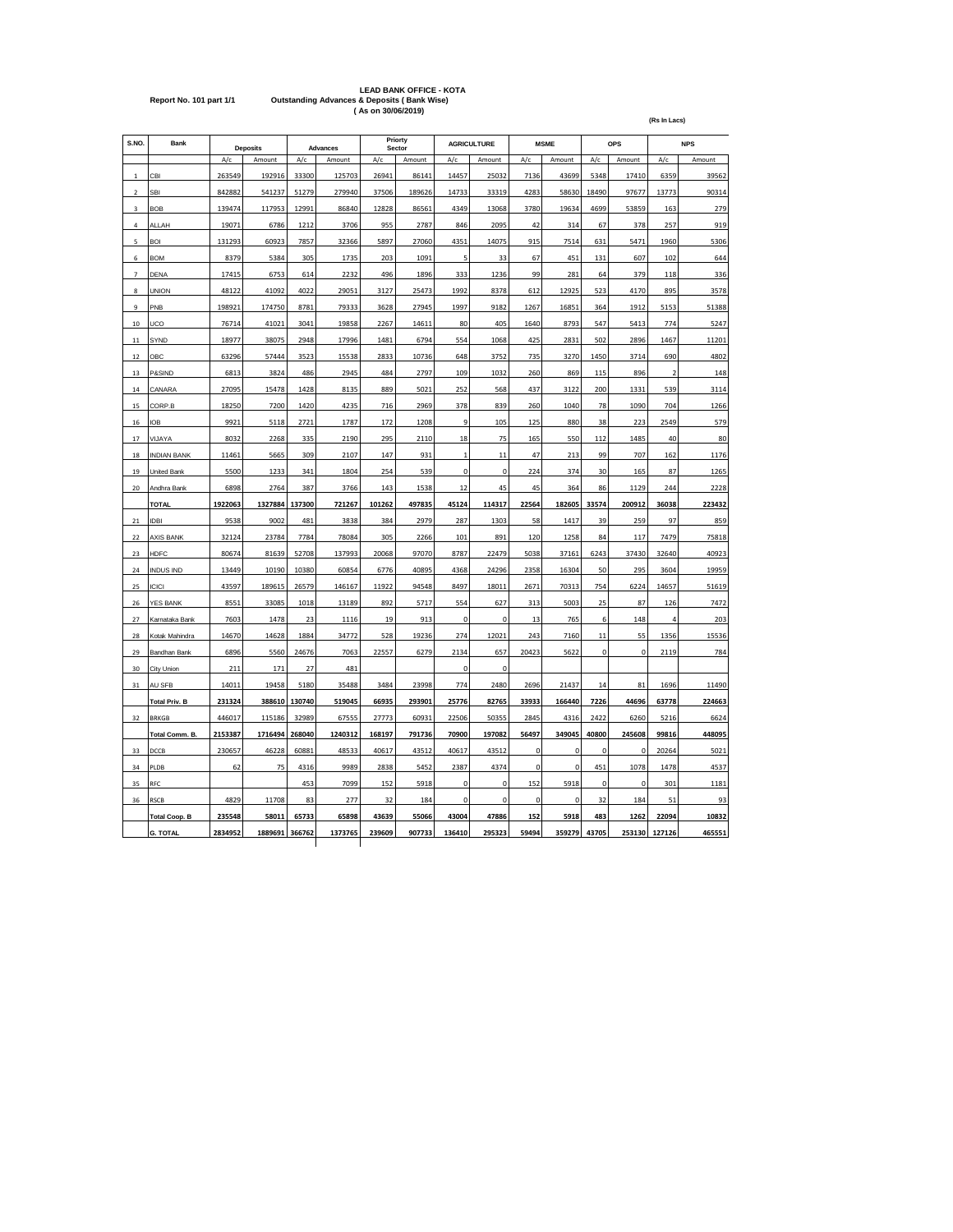|                         | <b>LEAD BANK OFFICE - KOTA</b>                         |
|-------------------------|--------------------------------------------------------|
| Report No. 101 part 1/1 | <b>Outstanding Advances &amp; Deposits (Bank Wise)</b> |
|                         | (As on 30/06/2019)                                     |

| S.NO.                    | Bank                 |         | <b>Deposits</b> |        | Advances |        | Priorty<br>Sector |                | <b>AGRICULTURE</b> |             | <b>MSME</b> |             | <b>OPS</b>  |             | <b>NPS</b> |
|--------------------------|----------------------|---------|-----------------|--------|----------|--------|-------------------|----------------|--------------------|-------------|-------------|-------------|-------------|-------------|------------|
|                          |                      | A/c     | Amount          | A/c    | Amount   | A/c    | Amount            | A/c            | Amount             | A/c         | Amount      | A/c         | Amount      | A/c         | Amount     |
| $\mathbf{1}$             | CBI                  | 263549  | 192916          | 33300  | 125703   | 26941  | 86141             | 14457          | 25032              | 7136        | 43699       | 5348        | 17410       | 6359        | 39562      |
| $\overline{2}$           | SBI                  | 842882  | 541237          | 51279  | 279940   | 37506  | 189626            | 14733          | 33319              | 4283        | 58630       | 18490       | 97677       | 13773       | 90314      |
| 3                        | <b>BOB</b>           | 139474  | 117953          | 12991  | 86840    | 12828  | 86561             | 4349           | 13068              | 3780        | 19634       | 4699        | 53859       | 163         | 279        |
| 4                        | ALLAH                | 19071   | 6786            | 1212   | 3706     | 955    | 2787              | 846            | 2095               | 42          | 314         | 67          | 378         | 257         | 919        |
| 5                        | <b>BOI</b>           | 131293  | 60923           | 7857   | 32366    | 5897   | 27060             | 4351           | 14075              | 915         | 7514        | 631         | 5471        | 1960        | 5306       |
| 6                        | <b>BOM</b>           | 8379    | 5384            | 305    | 1735     | 203    | 1091              | 5              | 33                 | 67          | 451         | 131         | 607         | 102         | 644        |
| $\overline{\phantom{a}}$ | DENA                 | 17415   | 6753            | 614    | 2232     | 496    | 1896              | 333            | 1236               | 99          | 281         | 64          | 379         | 118         | 336        |
| 8                        | <b>UNION</b>         | 48122   | 41092           | 4022   | 29051    | 3127   | 25473             | 1992           | 8378               | 612         | 12925       | 523         | 4170        | 895         | 3578       |
| 9                        | PNB                  | 198921  | 174750          | 8781   | 79333    | 3628   | 27945             | 1997           | 9182               | 1267        | 16851       | 364         | 1912        | 5153        | 51388      |
| 10                       | UCO                  | 76714   | 41021           | 3041   | 19858    | 2267   | 14611             | 80             | 405                | 1640        | 8793        | 547         | 5413        | 774         | 5247       |
| $11\,$                   | SYND                 | 18977   | 38075           | 2948   | 17996    | 1481   | 6794              | 554            | 1068               | 425         | 2831        | 502         | 2896        | 1467        | 11201      |
| 12                       | OBC                  | 63296   | 57444           | 3523   | 15538    | 2833   | 10736             | 648            | 3752               | 735         | 3270        | 1450        | 3714        | 690         | 4802       |
| 13                       | P&SIND               | 6813    | 3824            | 486    | 2945     | 484    | 2797              | 109            | 1032               | 260         | 869         | 115         | 896         | $\mathbf 2$ | 148        |
| 14                       | CANARA               | 27095   | 15478           | 1428   | 8135     | 889    | 5021              | 252            | 568                | 437         | 3122        | 200         | 1331        | 539         | 3114       |
| 15                       | CORP.B               | 18250   | 7200            | 1420   | 4235     | 716    | 2969              | 378            | 839                | 260         | 1040        | 78          | 1090        | 704         | 1266       |
| 16                       | <b>IOB</b>           | 9921    | 5118            | 2721   | 1787     | 172    | 1208              | $\overline{9}$ | 105                | 125         | 880         | 38          | 223         | 2549        | 579        |
| 17                       | VIJAYA               | 8032    | 2268            | 335    | 2190     | 295    | 2110              | 18             | 75                 | 165         | 550         | 112         | 1485        | 40          | 80         |
| 18                       | <b>INDIAN BANK</b>   | 11461   | 5665            | 309    | 2107     | 147    | 931               | $\mathbf 1$    | 11                 | 47          | 213         | 99          | 707         | 162         | 1176       |
| 19                       | United Bank          | 5500    | 1233            | 341    | 1804     | 254    | 539               | $\pmb{0}$      | $\pmb{0}$          | 224         | 374         | 30          | 165         | 87          | 1265       |
| 20                       | Andhra Bank          | 6898    | 2764            | 387    | 3766     | 143    | 1538              | 12             | 45                 | 45          | 364         | 86          | 1129        | 244         | 2228       |
|                          | <b>TOTAL</b>         | 1922063 | 1327884         | 137300 | 721267   | 101262 | 497835            | 45124          | 114317             | 22564       | 182605      | 33574       | 200912      | 36038       | 223432     |
| 21                       | <b>IDBI</b>          | 9538    | 9002            | 481    | 3838     | 384    | 2979              | 287            | 1303               | 58          | 1417        | 39          | 259         | 97          | 859        |
| 22                       | <b>AXIS BANK</b>     | 32124   | 23784           | 7784   | 78084    | 305    | 2266              | 101            | 891                | 120         | 1258        | 84          | 117         | 7479        | 75818      |
| 23                       | <b>HDFC</b>          |         |                 |        |          |        |                   |                |                    |             |             |             |             |             |            |
|                          |                      | 80674   | 81639           | 52708  | 137993   | 20068  | 97070             | 8787           | 22479              | 5038        | 37161       | 6243        | 37430       | 32640       | 40923      |
| 24                       | <b>INDUS IND</b>     | 13449   | 10190           | 10380  | 60854    | 6776   | 40895             | 4368           | 24296              | 2358        | 16304       | 50          | 295         | 3604        | 19959      |
| 25                       | <b>ICICI</b>         | 43597   | 189615          | 26579  | 146167   | 11922  | 94548             | 8497           | 18011              | 2671        | 70313       | 754         | 6224        | 14657       | 51619      |
| 26                       | YES BANK             | 8551    | 33085           | 1018   | 13189    | 892    | 5717              | 554            | 627                | 313         | 5003        | 25          | 87          | 126         | 7472       |
| 27                       | Karnataka Bank       | 7603    | 1478            | 23     | 1116     | 19     | 913               | $\mathbf 0$    | $\mathbf 0$        | 13          | 765         | 6           | 148         | 4           | 203        |
| 28                       | Kotak Mahindra       | 14670   | 14628           | 1884   | 34772    | 528    | 19236             | 274            | 12021              | 243         | 7160        | 11          | 55          | 1356        | 15536      |
| 29                       | Bandhan Bank         | 6896    | 5560            | 24676  | 7063     | 22557  | 6279              | 2134           | 657                | 20423       | 5622        | $\mathbf 0$ | $\mathbf 0$ | 2119        | 784        |
| 30                       | City Union           | 211     | 171             | 27     | 481      |        |                   | $\pmb{0}$      | $\pmb{0}$          |             |             |             |             |             |            |
| 31                       | AU SFB               | 14011   | 19458           | 5180   | 35488    | 3484   | 23998             | 774            | 2480               | 2696        | 21437       | 14          | 81          | 1696        | 11490      |
|                          | <b>Total Priv. B</b> | 231324  | 388610          | 130740 | 519045   | 66935  | 293901            | 25776          | 82765              | 33933       | 166440      | 7226        | 44696       | 63778       | 224663     |
| 32                       | <b>BRKGB</b>         | 446017  | 115186          | 32989  | 67555    | 27773  | 60931             | 22506          | 50355              | 2845        | 4316        | 2422        | 6260        | 5216        | 6624       |
|                          | Total Comm. B.       | 2153387 | 1716494         | 268040 | 1240312  | 168197 | 791736            | 70900          | 197082             | 56497       | 349045      | 40800       | 245608      | 99816       | 448095     |
| 33                       | DCCB                 | 230657  | 46228           | 60881  | 48533    | 40617  | 43512             | 40617          | 43512              | 0           | 0           | 0           | 0           | 20264       | 5021       |
| 34                       | PLDB                 | 62      | 75              | 4316   | 9989     | 2838   | 5452              | 2387           | 4374               | $\pmb{0}$   | $\pmb{0}$   | 451         | 1078        | 1478        | 4537       |
| 35                       | RFC                  |         |                 | 453    | 7099     | 152    | 5918              | $\pmb{0}$      | $\pmb{0}$          | 152         | 5918        | 0           | $\pmb{0}$   | 301         | 1181       |
| 36                       | <b>RSCB</b>          | 4829    | 11708           | 83     | 277      | 32     | 184               | $\pmb{0}$      | $\mathbf 0$        | $\mathbf 0$ | $\mathbf 0$ | 32          | 184         | 51          | 93         |
|                          | <b>Total Coop. B</b> | 235548  | 58011           | 65733  | 65898    | 43639  | 55066             | 43004          | 47886              | 152         | 5918        | 483         | 1262        | 22094       | 10832      |
|                          | <b>G. TOTAL</b>      | 2834952 | 1889691         | 366762 | 1373765  | 239609 | 907733            | 136410         | 295323             | 59494       | 359279      | 43705       | 253130      | 127126      | 465551     |

**(Rs In Lacs)**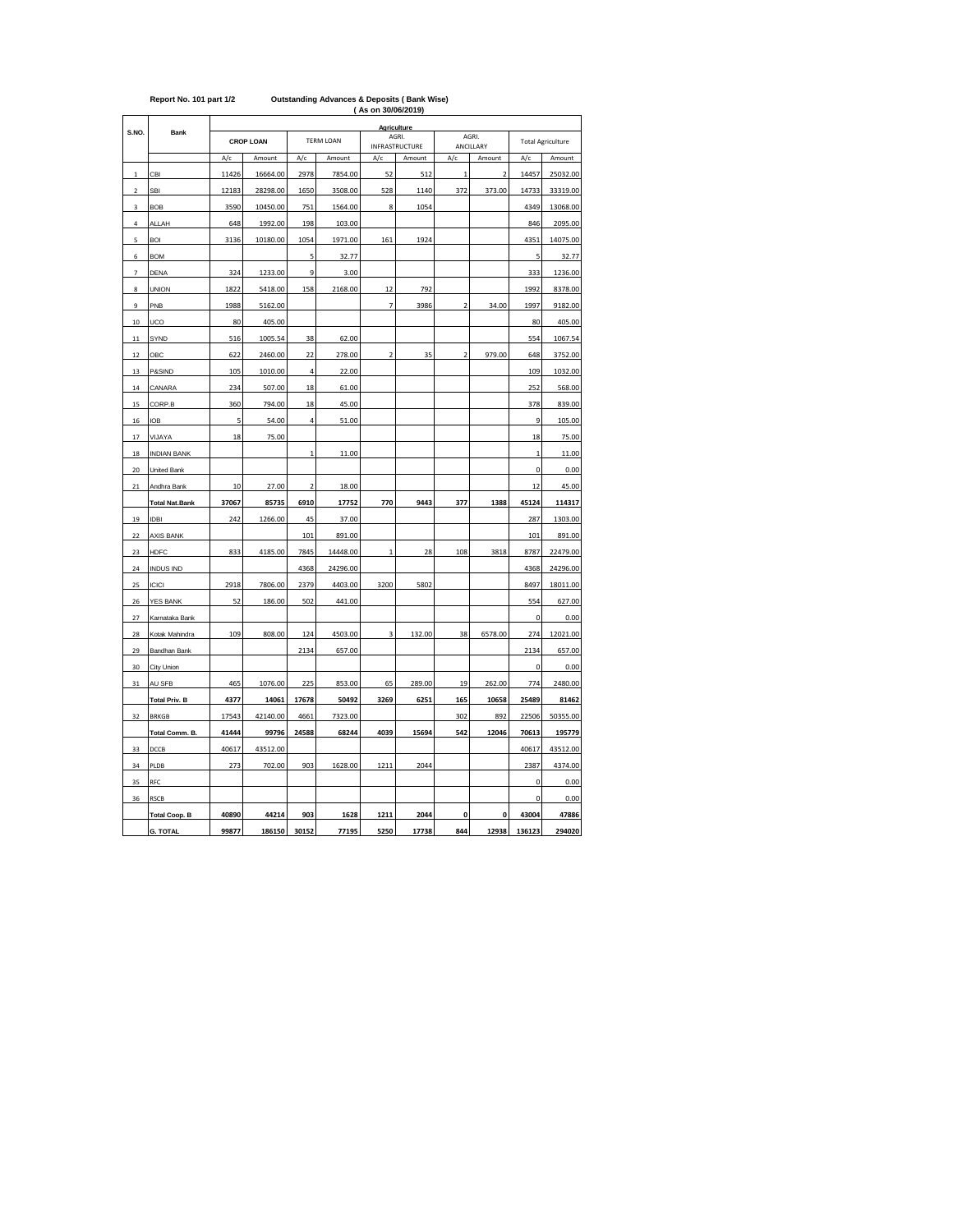|                |                                      | <b>AS UIL JU/UU/ZU 19</b><br><b>Agriculture</b> |                   |                         |                  |                         |                |                         |                         |                          |                   |
|----------------|--------------------------------------|-------------------------------------------------|-------------------|-------------------------|------------------|-------------------------|----------------|-------------------------|-------------------------|--------------------------|-------------------|
| S.NO.          | Bank                                 |                                                 | <b>CROP LOAN</b>  |                         | <b>TERM LOAN</b> |                         | AGRI.          |                         | AGRI.                   | <b>Total Agriculture</b> |                   |
|                |                                      |                                                 |                   |                         |                  |                         | INFRASTRUCTURE |                         | ANCILLARY               |                          |                   |
|                |                                      | A/c                                             | Amount            | A/c                     | Amount           | A/c                     | Amount         | A/c                     | Amount                  | A/c                      | Amount            |
| $\,$ 1         | CBI                                  | 11426                                           | 16664.00          | 2978                    | 7854.00          | 52                      | 512            | $\mathbf{1}$            | $\overline{\mathbf{c}}$ | 14457                    | 25032.00          |
| $\mathbf 2$    | SBI                                  | 12183                                           | 28298.00          | 1650                    | 3508.00          | 528                     | 1140           | 372                     | 373.00                  | 14733                    | 33319.00          |
| 3              | <b>BOB</b>                           | 3590                                            | 10450.00          | 751                     | 1564.00          | 8                       | 1054           |                         |                         | 4349                     | 13068.00          |
| $\ddot{a}$     | ALLAH                                | 648                                             | 1992.00           | 198                     | 103.00           |                         |                |                         |                         | 846                      | 2095.00           |
| 5              | <b>BOI</b>                           | 3136                                            | 10180.00          | 1054                    | 1971.00          | 161                     | 1924           |                         |                         | 4351                     | 14075.00          |
| 6              | <b>BOM</b>                           |                                                 |                   | 5                       | 32.77            |                         |                |                         |                         | 5                        | 32.77             |
| $\overline{1}$ | DENA                                 | 324                                             | 1233.00           | 9                       | 3.00             |                         |                |                         |                         | 333                      | 1236.00           |
| 8              | <b>UNION</b>                         | 1822                                            | 5418.00           | 158                     | 2168.00          | 12                      | 792            |                         |                         | 1992                     | 8378.00           |
| 9              | PNB                                  | 1988                                            | 5162.00           |                         |                  | 7                       | 3986           | $\overline{\mathbf{c}}$ | 34.00                   | 1997                     | 9182.00           |
| 10             | UCO                                  | 80                                              | 405.00            |                         |                  |                         |                |                         |                         | 80                       | 405.00            |
| 11             | SYND                                 | 516                                             | 1005.54           | 38                      | 62.00            |                         |                |                         |                         | 554                      | 1067.54           |
| 12             | ОВС                                  | 622                                             | 2460.00           | 22                      | 278.00           | $\overline{\mathbf{c}}$ | 35             | $\overline{\mathbf{c}}$ | 979.00                  | 648                      | 3752.00           |
| 13             | P&SIND                               | 105                                             | 1010.00           | $\overline{a}$          | 22.00            |                         |                |                         |                         | 109                      | 1032.00           |
| 14             | CANARA                               | 234                                             | 507.00            | 18                      | 61.00            |                         |                |                         |                         | 252                      | 568.00            |
| 15             | CORP.B                               | 360                                             | 794.00            | 18                      | 45.00            |                         |                |                         |                         | 378                      | 839.00            |
| 16             | <b>IOB</b>                           | 5                                               | 54.00             | 4                       | 51.00            |                         |                |                         |                         | 9                        | 105.00            |
| 17             | VIJAYA                               | 18                                              | 75.00             |                         |                  |                         |                |                         |                         | 18                       | 75.00             |
| 18             | <b>INDIAN BANK</b>                   |                                                 |                   | $\mathbf{1}$            | 11.00            |                         |                |                         |                         | $\mathbf{1}$             | 11.00             |
| 20             | United Bank                          |                                                 |                   |                         |                  |                         |                |                         |                         | 0                        | 0.00              |
| 21             | Andhra Bank                          | 10                                              | 27.00             | $\overline{\mathbf{c}}$ | 18.00            |                         |                |                         |                         | 12                       | 45.00             |
|                | <b>Total Nat.Bank</b>                | 37067                                           | 85735             | 6910                    | 17752            | 770                     | 9443           | 377                     | 1388                    | 45124                    | 114317            |
| 19             | <b>IDBI</b>                          | 242                                             | 1266.00           | 45                      | 37.00            |                         |                |                         |                         | 287                      | 1303.00           |
| 22             | AXIS BANK                            |                                                 |                   | 101                     | 891.00           |                         |                |                         |                         | 101                      | 891.00            |
| 23             | <b>HDFC</b>                          | 833                                             | 4185.00           | 7845                    | 14448.00         | $\mathbf{1}$            | 28             | 108                     | 3818                    | 8787                     | 22479.00          |
| 24             | <b>INDUS IND</b>                     |                                                 |                   | 4368                    | 24296.00         |                         |                |                         |                         | 4368                     | 24296.00          |
| 25             | <b>ICICI</b>                         | 2918                                            | 7806.00           | 2379                    | 4403.00          | 3200                    | 5802           |                         |                         | 8497                     | 18011.00          |
| 26             | <b>YES BANK</b>                      | 52                                              | 186.00            | 502                     | 441.00           |                         |                |                         |                         | 554                      | 627.00            |
| 27             | Karnataka Bank                       |                                                 |                   |                         |                  |                         |                |                         |                         | 0                        | 0.00              |
| 28             | Kotak Mahindra                       | 109                                             | 808.00            | 124                     | 4503.00          | 3                       | 132.00         | 38                      | 6578.00                 | 274                      | 12021.00          |
| 29             | Bandhan Bank                         |                                                 |                   | 2134                    | 657.00           |                         |                |                         |                         | 2134                     | 657.00            |
| 30             | City Union                           |                                                 |                   |                         |                  |                         |                |                         |                         | 0                        | 0.00              |
| 31             | AU SFB                               | 465                                             | 1076.00           | 225                     | 853.00           | 65                      | 289.00         | 19                      | 262.00                  | 774                      | 2480.00           |
|                |                                      |                                                 |                   |                         |                  |                         |                |                         |                         | 25489                    |                   |
|                | <b>Total Priv. B</b><br><b>BRKGB</b> | 4377<br>17543                                   | 14061<br>42140.00 | 17678                   | 50492<br>7323.00 | 3269                    | 6251           | 165                     | 10658                   | 22506                    | 81462<br>50355.00 |
| 32             |                                      |                                                 |                   | 4661                    |                  |                         |                | 302                     | 892                     |                          |                   |
|                | Total Comm. B.                       | 41444                                           | 99796             | 24588                   | 68244            | 4039                    | 15694          | 542                     | 12046                   | 70613                    | 195779            |
| 33             | DCCB                                 | 40617                                           | 43512.00          |                         |                  |                         |                |                         |                         | 40617                    | 43512.00          |
| 34             | PLDB                                 | 273                                             | 702.00            | 903                     | 1628.00          | 1211                    | 2044           |                         |                         | 2387                     | 4374.00           |
| 35             | RFC                                  |                                                 |                   |                         |                  |                         |                |                         |                         | 0                        | 0.00              |
| 36             | <b>RSCB</b>                          |                                                 |                   |                         |                  |                         |                |                         |                         | 0                        | 0.00              |
|                | <b>Total Coop. B</b>                 | 40890                                           | 44214             | 903                     | 1628             | 1211                    | 2044           | $\mathbf{0}$            | $\mathbf{0}$            | 43004                    | 47886             |
|                | <b>G. TOTAL</b>                      | 99877                                           | 186150            | 30152                   | 77195            | 5250                    | 17738          | 844                     | 12938                   | 136123                   | 294020            |

## **( As on 30/06/2019) Report No. 101 part 1/2 Outstanding Advances & Deposits ( Bank Wise)**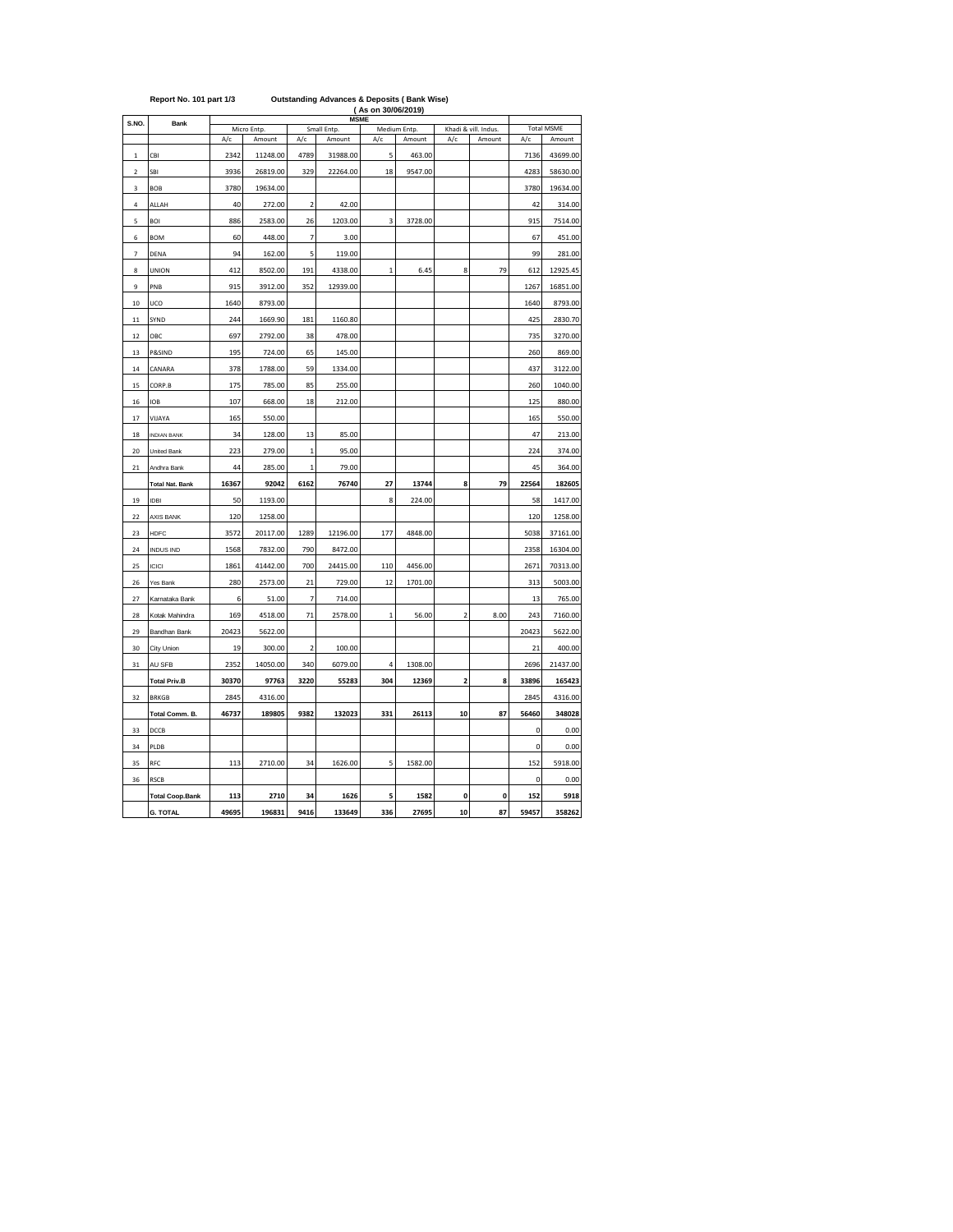|                         |                        | (As on 30/06/2019)<br><b>MSME</b> |             |                         |             |                |              |                |                     |             |                   |
|-------------------------|------------------------|-----------------------------------|-------------|-------------------------|-------------|----------------|--------------|----------------|---------------------|-------------|-------------------|
| S.NO.                   | Bank                   |                                   | Micro Entp. |                         | Small Entp. |                | Medium Entp. |                | Khadi & vill. Indus |             | <b>Total MSME</b> |
|                         |                        | A/c                               | Amount      | A/c                     | Amount      | A/c            | Amount       | A/c            | Amount              | A/c         | Amount            |
| 1                       | CBI                    | 2342                              | 11248.00    | 4789                    | 31988.00    | 5              | 463.00       |                |                     | 7136        | 43699.00          |
| $\overline{\mathbf{c}}$ | SBI                    | 3936                              | 26819.00    | 329                     | 22264.00    | 18             | 9547.00      |                |                     | 4283        | 58630.00          |
| 3                       | <b>BOB</b>             | 3780                              | 19634.00    |                         |             |                |              |                |                     | 3780        | 19634.00          |
| $\overline{4}$          | ALLAH                  | 40                                | 272.00      | $\overline{2}$          | 42.00       |                |              |                |                     | 42          | 314.00            |
| 5                       | BOI                    | 886                               | 2583.00     | 26                      | 1203.00     | 3              | 3728.00      |                |                     | 915         | 7514.00           |
| 6                       | <b>BOM</b>             | 60                                | 448.00      | 7                       | 3.00        |                |              |                |                     | 67          | 451.00            |
| 7                       | DENA                   | 94                                | 162.00      | 5                       | 119.00      |                |              |                |                     | 99          | 281.00            |
| 8                       | <b>UNION</b>           | 412                               | 8502.00     | 191                     | 4338.00     | $\mathbf{1}$   | 6.45         | 8              | 79                  | 612         | 12925.45          |
| 9                       | PNB                    | 915                               | 3912.00     | 352                     | 12939.00    |                |              |                |                     | 1267        | 16851.00          |
| 10                      | UCO                    | 1640                              | 8793.00     |                         |             |                |              |                |                     | 1640        | 8793.00           |
| 11                      | SYND                   | 244                               | 1669.90     | 181                     | 1160.80     |                |              |                |                     | 425         | 2830.70           |
| 12                      | OBC                    | 697                               | 2792.00     | 38                      | 478.00      |                |              |                |                     | 735         | 3270.00           |
| 13                      | P&SIND                 | 195                               | 724.00      | 65                      | 145.00      |                |              |                |                     | 260         | 869.00            |
| 14                      | CANARA                 | 378                               | 1788.00     | 59                      | 1334.00     |                |              |                |                     | 437         | 3122.00           |
| 15                      | CORP.B                 | 175                               | 785.00      | 85                      | 255.00      |                |              |                |                     | 260         | 1040.00           |
| 16                      | <b>IOB</b>             | 107                               | 668.00      | 18                      | 212.00      |                |              |                |                     | 125         | 880.00            |
| 17                      | VIJAYA                 | 165                               | 550.00      |                         |             |                |              |                |                     | 165         | 550.00            |
| 18                      | <b>INDIAN BANK</b>     | 34                                | 128.00      | 13                      | 85.00       |                |              |                |                     | 47          | 213.00            |
| 20                      | United Bank            | 223                               | 279.00      | $\mathbf{1}$            | 95.00       |                |              |                |                     | 224         | 374.00            |
| 21                      | Andhra Bank            | 44                                | 285.00      | $\mathbf{1}$            | 79.00       |                |              |                |                     | 45          | 364.00            |
|                         | <b>Total Nat. Bank</b> | 16367                             | 92042       | 6162                    | 76740       | 27             | 13744        | 8              | 79                  | 22564       | 182605            |
| 19                      | <b>IDBI</b>            | 50                                | 1193.00     |                         |             | 8              | 224.00       |                |                     | 58          | 1417.00           |
| 22                      | AXIS BANK              | 120                               | 1258.00     |                         |             |                |              |                |                     | 120         | 1258.00           |
| 23                      | <b>HDFC</b>            | 3572                              | 20117.00    | 1289                    | 12196.00    | 177            | 4848.00      |                |                     | 5038        | 37161.00          |
| 24                      | <b>INDUS IND</b>       | 1568                              | 7832.00     | 790                     | 8472.00     |                |              |                |                     | 2358        | 16304.00          |
| 25                      | <b>ICICI</b>           | 1861                              | 41442.00    | 700                     | 24415.00    | 110            | 4456.00      |                |                     | 2671        | 70313.00          |
| 26                      | Yes Bank               | 280                               | 2573.00     | 21                      | 729.00      | 12             | 1701.00      |                |                     | 313         | 5003.00           |
| 27                      | Karnataka Bank         | 6                                 | 51.00       | 7                       | 714.00      |                |              |                |                     | 13          | 765.00            |
| 28                      | Kotak Mahindra         | 169                               | 4518.00     | 71                      | 2578.00     | $\overline{1}$ | 56.00        | $\overline{2}$ | 8.00                | 243         | 7160.00           |
| 29                      | Bandhan Bank           | 20423                             | 5622.00     |                         |             |                |              |                |                     | 20423       | 5622.00           |
| 30                      | City Union             | 19                                | 300.00      | $\overline{\mathbf{c}}$ | 100.00      |                |              |                |                     | 21          | 400.00            |
| 31                      | AU SFB                 | 2352                              | 14050.00    | 340                     | 6079.00     | 4              | 1308.00      |                |                     | 2696        | 21437.00          |
|                         | <b>Total Priv.B</b>    | 30370                             | 97763       | 3220                    | 55283       | 304            | 12369        | 2              | 8                   | 33896       | 165423            |
| 32                      | <b>BRKGB</b>           | 2845                              | 4316.00     |                         |             |                |              |                |                     | 2845        | 4316.00           |
|                         | Total Comm. B.         | 46737                             | 189805      | 9382                    | 132023      | 331            | 26113        | 10             | 87                  | 56460       | 348028            |
| 33                      | DCCB                   |                                   |             |                         |             |                |              |                |                     | 0           | 0.00              |
| 34                      | PLDB                   |                                   |             |                         |             |                |              |                |                     | 0           | 0.00              |
| 35                      | RFC                    | 113                               | 2710.00     | 34                      | 1626.00     | 5              | 1582.00      |                |                     | 152         | 5918.00           |
| 36                      | <b>RSCB</b>            |                                   |             |                         |             |                |              |                |                     | $\mathbf 0$ | 0.00              |
|                         | <b>Total Coop.Bank</b> | 113                               | 2710        | 34                      | 1626        | 5              | 1582         | 0              | 0                   | 152         | 5918              |
|                         | <b>G. TOTAL</b>        | 49695                             | 196831      | 9416                    | 133649      | 336            | 27695        | 10             | 87                  | 59457       | 358262            |

## **Report No. 101 part 1/3 Outstanding Advances & Deposits ( Bank Wise)**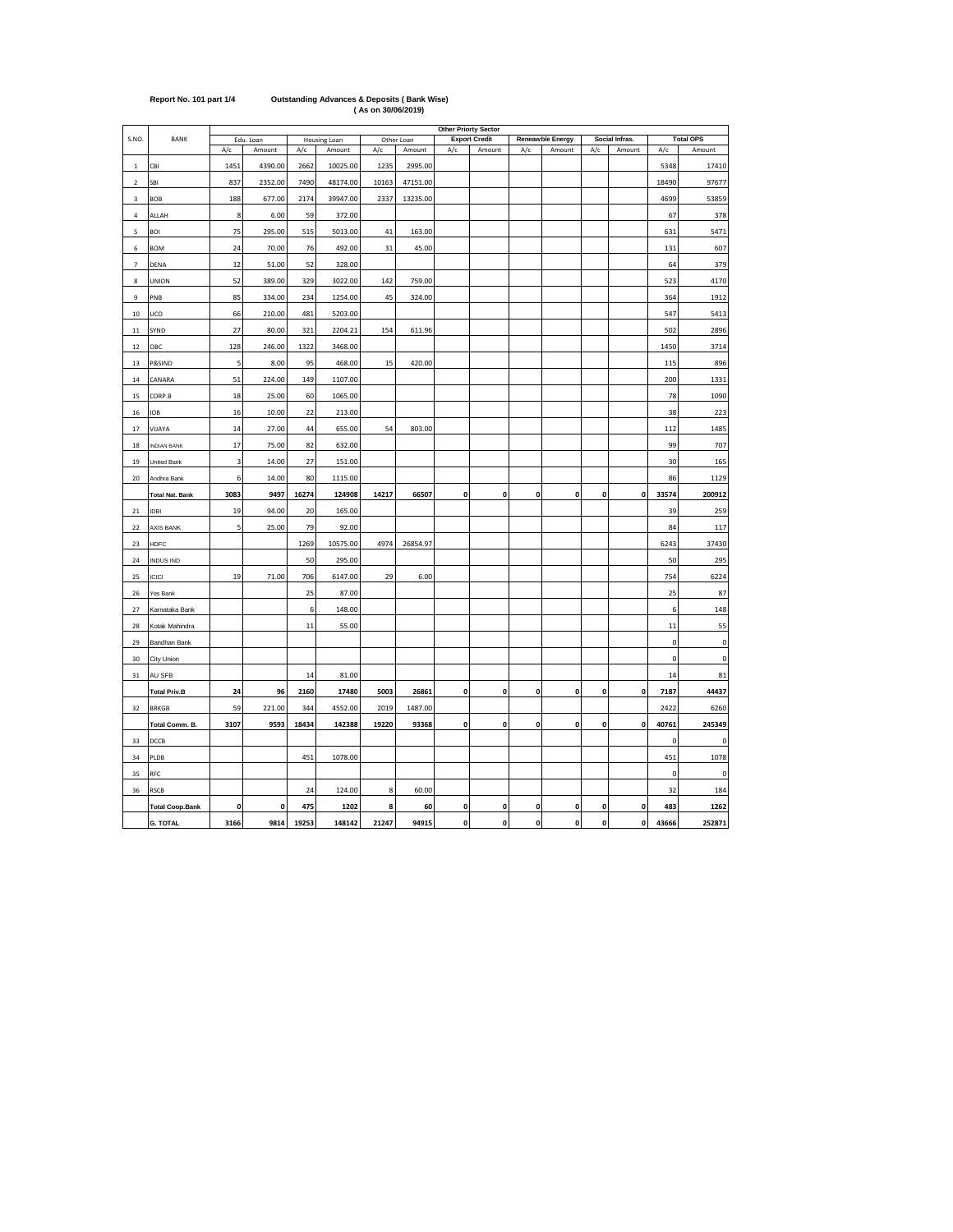|                |                        |      |                     |       |                        |       |                      | <b>Other Priorty Sector</b> |                                |              |                            |              |                          |             |                            |
|----------------|------------------------|------|---------------------|-------|------------------------|-------|----------------------|-----------------------------|--------------------------------|--------------|----------------------------|--------------|--------------------------|-------------|----------------------------|
| S.NO.          | <b>BANK</b>            | A/c  | Edu. Loan<br>Amount | A/c   | Housing Loan<br>Amount | A/c   | Other Loan<br>Amount | A/c                         | <b>Export Credit</b><br>Amount | A/c          | Reneawble Energy<br>Amount | A/c          | Social Infras.<br>Amount | A/c         | <b>Total OPS</b><br>Amount |
| $\mathbf{1}$   | CBI                    | 1451 | 4390.00             | 2662  | 10025.00               | 1235  | 2995.00              |                             |                                |              |                            |              |                          | 5348        | 17410                      |
| $\sqrt{2}$     | SBI                    | 837  | 2352.00             | 7490  | 48174.00               | 10163 | 47151.00             |                             |                                |              |                            |              |                          | 18490       | 97677                      |
| 3              | BOB                    | 188  | 677.00              | 2174  | 39947.00               | 2337  | 13235.00             |                             |                                |              |                            |              |                          | 4699        | 53859                      |
| $\sqrt{4}$     | ALLAH                  | 8    | 6.00                | 59    | 372.00                 |       |                      |                             |                                |              |                            |              |                          | 67          | 378                        |
| 5              | BOI                    | 75   | 295.00              | 515   | 5013.00                | 41    | 163.00               |                             |                                |              |                            |              |                          | 631         | 5471                       |
| 6              | <b>BOM</b>             | 24   | 70.00               | 76    | 492.00                 | 31    | 45.00                |                             |                                |              |                            |              |                          | 131         | 607                        |
| $\overline{7}$ | DENA                   | 12   | 51.00               | 52    | 328.00                 |       |                      |                             |                                |              |                            |              |                          | 64          | 379                        |
| 8              | <b>UNION</b>           | 52   | 389.00              | 329   | 3022.00                | 142   | 759.00               |                             |                                |              |                            |              |                          | 523         | 4170                       |
| $\mathsf g$    | PNB                    | 85   | 334.00              | 234   | 1254.00                | 45    | 324.00               |                             |                                |              |                            |              |                          | 364         | 1912                       |
| 10             | UCO                    | 66   | 210.00              | 481   | 5203.00                |       |                      |                             |                                |              |                            |              |                          | 547         | 5413                       |
| $11\,$         | SYND                   | 27   | 80.00               | 321   | 2204.21                | 154   | 611.96               |                             |                                |              |                            |              |                          | 502         | 2896                       |
| 12             | ОВС                    | 128  | 246.00              | 1322  | 3468.00                |       |                      |                             |                                |              |                            |              |                          | 1450        | 3714                       |
| 13             | P&SIND                 | 5    | 8.00                | 95    | 468.00                 | 15    | 420.00               |                             |                                |              |                            |              |                          | 115         | 896                        |
| 14             | CANARA                 | 51   | 224.00              | 149   | 1107.00                |       |                      |                             |                                |              |                            |              |                          | 200         | 1331                       |
| 15             | CORP.B                 | 18   | 25.00               | 60    | 1065.00                |       |                      |                             |                                |              |                            |              |                          | 78          | 1090                       |
| $16\,$         | <b>IOB</b>             | 16   | 10.00               | 22    | 213.00                 |       |                      |                             |                                |              |                            |              |                          | 38          | 223                        |
| 17             | VIJAYA                 | 14   | 27.00               | 44    | 655.00                 | 54    | 803.00               |                             |                                |              |                            |              |                          | 112         | 1485                       |
| 18             | <b>INDIAN BANK</b>     | 17   | 75.00               | 82    | 632.00                 |       |                      |                             |                                |              |                            |              |                          | 99          | 707                        |
| 19             | United Bank            | 3    | 14.00               | 27    | 151.00                 |       |                      |                             |                                |              |                            |              |                          | 30          | 165                        |
| 20             | Andhra Bank            | 6    | 14.00               | 80    | 1115.00                |       |                      |                             |                                |              |                            |              |                          | 86          | 1129                       |
|                | <b>Total Nat. Bank</b> | 3083 | 9497                | 16274 | 124908                 | 14217 | 66507                | 0                           | 0                              | 0            | 0                          | 0            | 0                        | 33574       | 200912                     |
| 21             | <b>IDBI</b>            | 19   | 94.00               | 20    | 165.00                 |       |                      |                             |                                |              |                            |              |                          | 39          | 259                        |
| 22             | <b>AXIS BANK</b>       | 5    | 25.00               | 79    | 92.00                  |       |                      |                             |                                |              |                            |              |                          | 84          | 117                        |
| 23             | HDFC                   |      |                     | 1269  | 10575.00               | 4974  | 26854.97             |                             |                                |              |                            |              |                          | 6243        | 37430                      |
| 24             | <b>INDUS IND</b>       |      |                     | 50    | 295.00                 |       |                      |                             |                                |              |                            |              |                          | 50          | 295                        |
| 25             | ICICI                  | 19   | 71.00               | 706   | 6147.00                | 29    | 6.00                 |                             |                                |              |                            |              |                          | 754         | 6224                       |
| 26             | Yes Bank               |      |                     | 25    | 87.00                  |       |                      |                             |                                |              |                            |              |                          | 25          | 87                         |
| 27             | Karnataka Bank         |      |                     | 6     | 148.00                 |       |                      |                             |                                |              |                            |              |                          | 6           | 148                        |
| 28             | Kotak Mahindra         |      |                     | 11    | 55.00                  |       |                      |                             |                                |              |                            |              |                          | 11          | 55                         |
| 29             | Bandhan Bank           |      |                     |       |                        |       |                      |                             |                                |              |                            |              |                          | $\mathbf 0$ | $\mathbf 0$                |
| 30             | City Union             |      |                     |       |                        |       |                      |                             |                                |              |                            |              |                          | $\pmb{0}$   | $\pmb{0}$                  |
| 31             | AU SFB                 |      |                     | 14    | 81.00                  |       |                      |                             |                                |              |                            |              |                          | 14          | 81                         |
|                | <b>Total Priv.B</b>    | 24   | 96                  | 2160  | 17480                  | 5003  | 26861                | 0                           | 0                              | 0            | 0                          | 0            | 0                        | 7187        | 44437                      |
| 32             | <b>BRKGB</b>           | 59   | 221.00              | 344   | 4552.00                | 2019  | 1487.00              |                             |                                |              |                            |              |                          | 2422        | 6260                       |
|                | Total Comm. B.         | 3107 | 9593                | 18434 | 142388                 | 19220 | 93368                | $\mathbf{0}$                | 0                              | 0            | 0                          | $\mathbf{0}$ | $\pmb{0}$                | 40761       | 245349                     |
| 33             | DCCB                   |      |                     |       |                        |       |                      |                             |                                |              |                            |              |                          | $\pmb{0}$   | 0                          |
| 34             | PLDB                   |      |                     | 451   | 1078.00                |       |                      |                             |                                |              |                            |              |                          | 451         | 1078                       |
| 35             | RFC                    |      |                     |       |                        |       |                      |                             |                                |              |                            |              |                          | $\pmb{0}$   | 0                          |
| 36             | RSCB                   |      |                     | 24    | 124.00                 | 8     | 60.00                |                             |                                |              |                            |              |                          | 32          | 184                        |
|                | <b>Total Coop.Bank</b> | 0    | 0                   | 475   | 1202                   | 8     | 60                   | $\mathbf{0}$                | 0                              | $\mathbf 0$  | 0                          | 0            | $\mathbf{0}$             | 483         | 1262                       |
|                | <b>G. TOTAL</b>        | 3166 | 9814                | 19253 | 148142                 | 21247 | 94915                | $\mathbf{0}$                | $\mathbf{0}$                   | $\mathbf{0}$ | $\mathbf{0}$               | $\mathbf{0}$ | $\mathbf 0$              | 43666       | 252871                     |

## **Report No. 101 part 1/4 Outstanding Advances & Deposits ( Bank Wise) ( As on 30/06/2019)**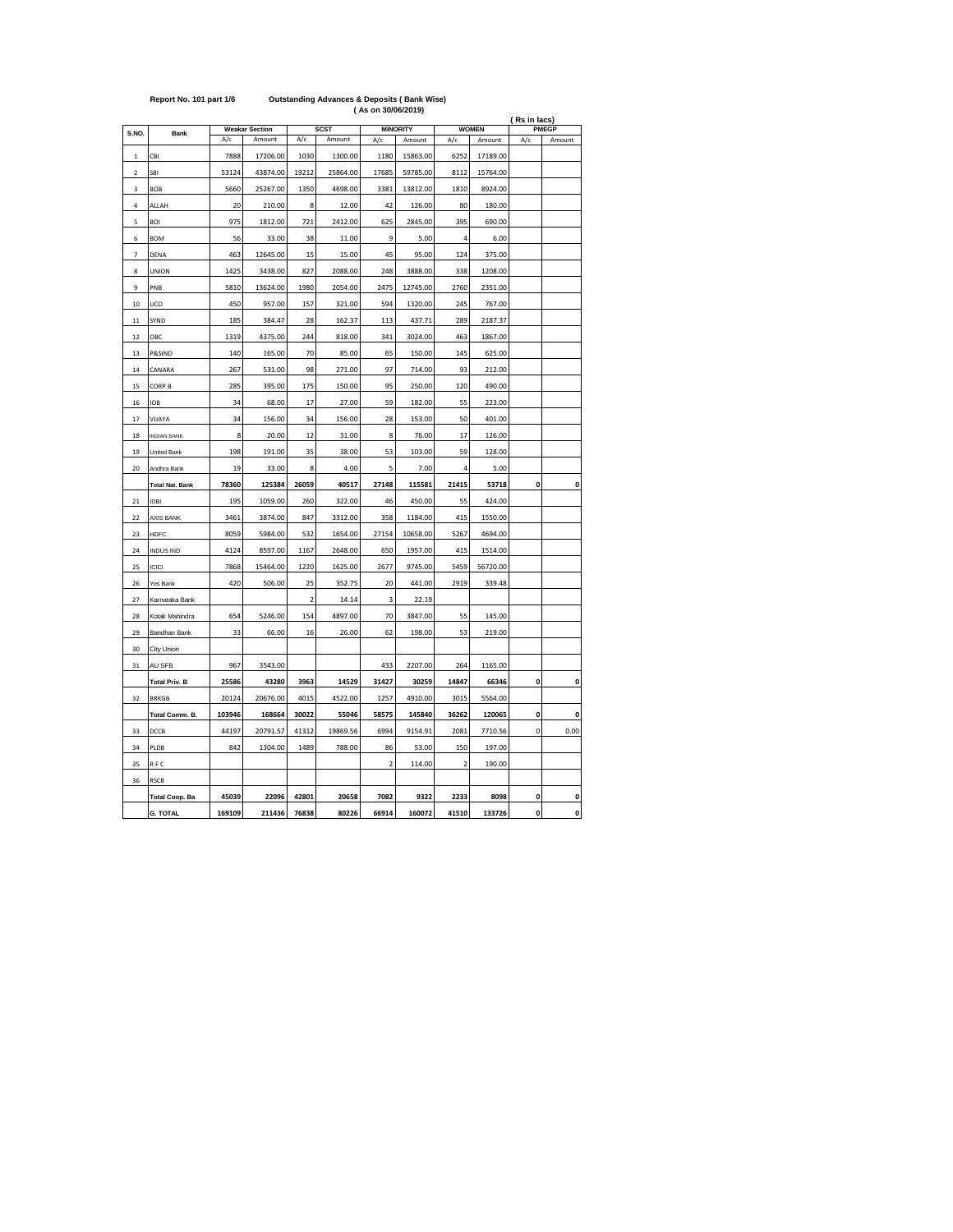| Report No. 101 part 1/6 | <b>Outstanding Advances &amp; Deposits (Bank Wise)</b> |
|-------------------------|--------------------------------------------------------|
|                         | (As on 30/06/2019)                                     |

|                |                                      |                |                       |                |                  |                         |                  |                         |                  | ( Rs in lacs) |              |
|----------------|--------------------------------------|----------------|-----------------------|----------------|------------------|-------------------------|------------------|-------------------------|------------------|---------------|--------------|
| S.NO.          | Bank                                 |                | <b>Weakar Section</b> |                | <b>SCST</b>      |                         | <b>MINORITY</b>  |                         | <b>WOMEN</b>     |               | <b>PMEGP</b> |
|                |                                      | A/c            | Amount                | A/c            | Amount           | A/c                     | Amount           | A/c                     | Amount           | A/c           | Amount       |
| $\mathbf{1}$   | CBI                                  | 7888           | 17206.00              | 1030           | 1300.00          | 1180                    | 15863.00         | 6252                    | 17189.00         |               |              |
| $\overline{a}$ | SBI                                  | 53124          | 43874.00              | 19212          | 25864.00         | 17685                   | 59785.00         | 8112                    | 15764.00         |               |              |
| 3              | <b>BOB</b>                           | 5660           | 25267.00              | 1350           | 4698.00          | 3381                    | 13812.00         | 1810                    | 8924.00          |               |              |
| $\overline{4}$ | ALLAH                                | 20             | 210.00                | 8              | 12.00            | 42                      | 126.00           | 80                      | 180.00           |               |              |
| 5              | BOI                                  | 975            | 1812.00               | 721            | 2412.00          | 625                     | 2845.00          | 395                     | 690.00           |               |              |
| 6              | <b>BOM</b>                           | 56             | 33.00                 | 38             | 11.00            | 9                       | 5.00             | 4                       | 6.00             |               |              |
| 7              | DENA                                 | 463            | 12645.00              | 15             | 15.00            | 45                      | 95.00            | 124                     | 375.00           |               |              |
| 8              | UNION                                | 1425           | 3438.00               | 827            | 2088.00          | 248                     | 3888.00          | 338                     | 1208.00          |               |              |
| $\overline{9}$ | PNB                                  | 5810           | 13624.00              | 1980           | 2054.00          | 2475                    | 12745.00         | 2760                    | 2351.00          |               |              |
| 10             | UCO                                  | 450            | 957.00                | 157            | 321.00           | 594                     | 1320.00          | 245                     | 767.00           |               |              |
| 11             | SYND                                 | 185            | 384.47                | 28             | 162.37           | 113                     | 437.71           | 289                     | 2187.37          |               |              |
| 12             | OBC                                  | 1319           | 4375.00               | 244            | 818.00           | 341                     | 3024.00          | 463                     | 1867.00          |               |              |
| 13             | P&SIND                               | 140            | 165.00                | 70             | 85.00            | 65                      | 150.00           | 145                     | 625.00           |               |              |
| 14             | CANARA                               | 267            | 531.00                | 98             | 271.00           | 97                      | 714.00           | 93                      | 212.00           |               |              |
| 15             | CORP.B                               | 285            | 395.00                | 175            | 150.00           | 95                      | 250.00           | 120                     | 490.00           |               |              |
| 16             | <b>IOB</b>                           | 34             | 68.00                 | 17             | 27.00            | 59                      | 182.00           | 55                      | 223.00           |               |              |
| 17             | VIJAYA                               | 34             | 156.00                | 34             | 156.00           | 28                      | 153.00           | 50                      | 401.00           |               |              |
| 18             | <b>INDIAN BANK</b>                   | 8              | 20.00                 | 12             | 31.00            | 8                       | 76.00            | 17                      | 126.00           |               |              |
| 19             | United Bank                          | 198            | 191.00                | 35             | 38.00            | 53                      | 103.00           | 59                      | 128.00           |               |              |
| 20             | Andhra Bank                          | 19             | 33.00                 | 8              | 4.00             | 5                       | 7.00             | 4                       | 5.00             |               |              |
|                | <b>Total Nat. Bank</b>               | 78360          | 125384                | 26059          | 40517            | 27148                   | 115581           | 21415                   | 53718            | $\mathbf 0$   | 0            |
| 21             | IDBI                                 | 195            | 1059.00               | 260            | 322.00           | 46                      | 450.00           | 55                      | 424.00           |               |              |
| 22             | <b>AXIS BANK</b>                     | 3461           | 3874.00               | 847            | 3312.00          | 358                     | 1184.00          | 415                     | 1550.00          |               |              |
| 23             | HDFC                                 | 8059           | 5984.00               | 532            | 1654.00          | 27154                   | 10658.00         | 5267                    | 4694.00          |               |              |
| 24             | <b>INDUS IND</b>                     | 4124           | 8597.00               | 1167           | 2648.00          | 650                     | 1957.00          | 415                     | 1514.00          |               |              |
| 25             | <b>ICICI</b>                         | 7868           | 15464.00              | 1220           | 1625.00          | 2677                    | 9745.00          | 5459                    | 56720.00         |               |              |
| 26             | Yes Bank                             | 420            | 506.00                | 25             | 352.75           | 20                      | 441.00           | 2919                    | 339.48           |               |              |
| 27             | Karnataka Bank                       |                |                       | $\overline{2}$ | 14.14            | 3                       | 22.19            |                         |                  |               |              |
| 28             | Kotak Mahindra                       | 654            | 5246.00               | 154            | 4897.00          | 70                      | 3847.00          | 55                      | 145.00           |               |              |
| 29             | Bandhan Bank                         | 33             | 66.00                 | 16             | 26.00            | 62                      | 198.00           | 53                      | 219.00           |               |              |
| 30             | City Union                           |                |                       |                |                  |                         |                  |                         |                  |               |              |
| 31             | AU SFB                               | 967            | 3543.00               |                |                  | 433                     | 2207.00          | 264                     | 1165.00          |               |              |
|                |                                      |                |                       |                |                  |                         |                  |                         |                  | $\mathbf 0$   |              |
| 32             | <b>Total Priv. B</b><br><b>BRKGB</b> | 25586<br>20124 | 43280<br>20676.00     | 3963<br>4015   | 14529<br>4522.00 | 31427<br>1257           | 30259<br>4910.00 | 14847<br>3015           | 66346<br>5564.00 |               | 0            |
|                |                                      | 103946         | 168664                | 30022          | 55046            | 58575                   | 145840           | 36262                   | 120065           | 0             | 0            |
| 33             | Total Comm. B.<br>DCCB               | 44197          | 20791.57              | 41312          | 19869.56         | 6994                    | 9154.91          | 2081                    | 7710.56          | 0             | 0.00         |
| 34             | PLDB                                 | 842            | 1304.00               | 1489           | 788.00           | 86                      | 53.00            | 150                     | 197.00           |               |              |
|                |                                      |                |                       |                |                  |                         | 114.00           |                         | 190.00           |               |              |
| 35             | RFC                                  |                |                       |                |                  | $\overline{\mathbf{c}}$ |                  | $\overline{\mathbf{c}}$ |                  |               |              |
| 36             | <b>RSCB</b>                          |                |                       |                |                  |                         |                  |                         |                  |               |              |
|                | <b>Total Coop. Ba</b>                | 45039          | 22096                 | 42801          | 20658            | 7082                    | 9322             | 2233                    | 8098             | 0             | 0            |
|                | <b>G. TOTAL</b>                      | 169109         | 211436                | 76838          | 80226            | 66914                   | 160072           | 41510                   | 133726           | $\mathbf{0}$  | O            |